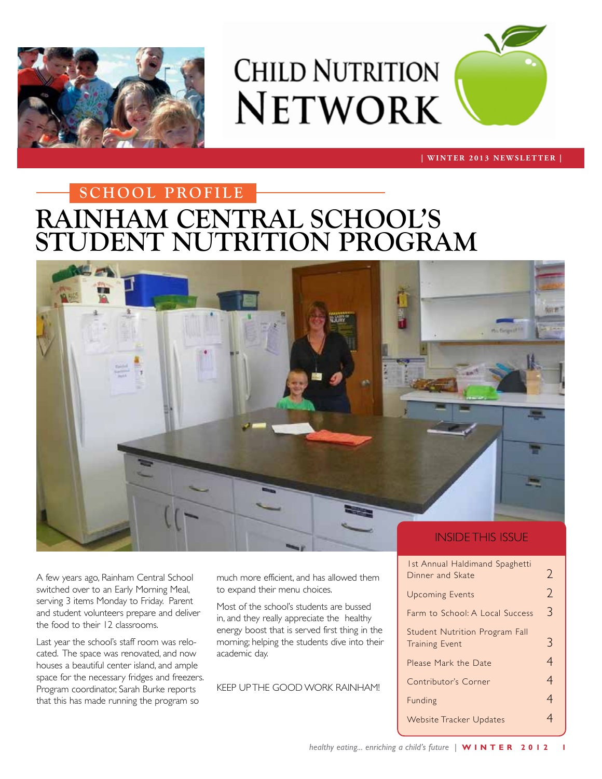

# **CHILD NUTRITION NETWORK**



#### **| WINTER 2013 NEWSLETTER |**

## **RAINHAM CENTRAL SCHOOL'S STUDENT NUTRITION PROGRAM School PROFILE**



A few years ago, Rainham Central School switched over to an Early Morning Meal, serving 3 items Monday to Friday. Parent and student volunteers prepare and deliver the food to their 12 classrooms.

Last year the school's staff room was relocated. The space was renovated, and now houses a beautiful center island, and ample space for the necessary fridges and freezers. Program coordinator, Sarah Burke reports that this has made running the program so

much more efficient, and has allowed them to expand their menu choices.

Most of the school's students are bussed in, and they really appreciate the healthy energy boost that is served first thing in the morning; helping the students dive into their academic day.

KEEP UP THE GOOD WORK RAINHAM!

| <b>Ist Annual Haldimand Spaghetti</b> |                |
|---------------------------------------|----------------|
| Dinner and Skate                      | 2              |
| <b>Upcoming Events</b>                | $\overline{2}$ |
| Farm to School: A Local Success       | 3              |
| Student Nutrition Program Fall        |                |
| <b>Training Event</b>                 | 3              |
| Please Mark the Date                  | 4              |
| Contributor's Corner                  | 4              |
| Funding                               | 4              |
| <b>Website Tracker Updates</b>        |                |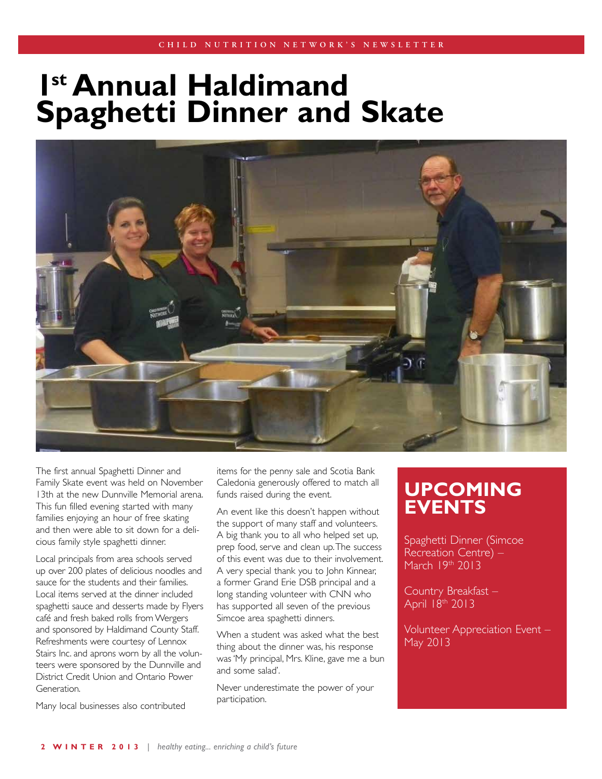## **1st Annual Haldimand Spaghetti Dinner and Skate**



The first annual Spaghetti Dinner and Family Skate event was held on November 13th at the new Dunnville Memorial arena. This fun filled evening started with many families enjoying an hour of free skating and then were able to sit down for a delicious family style spaghetti dinner.

Local principals from area schools served up over 200 plates of delicious noodles and sauce for the students and their families. Local items served at the dinner included spaghetti sauce and desserts made by Flyers café and fresh baked rolls from Wergers and sponsored by Haldimand County Staff. Refreshments were courtesy of Lennox Stairs Inc. and aprons worn by all the volunteers were sponsored by the Dunnville and District Credit Union and Ontario Power Generation.

Many local businesses also contributed

items for the penny sale and Scotia Bank Caledonia generously offered to match all funds raised during the event.

An event like this doesn't happen without the support of many staff and volunteers. A big thank you to all who helped set up, prep food, serve and clean up. The success of this event was due to their involvement. A very special thank you to John Kinnear, a former Grand Erie DSB principal and a long standing volunteer with CNN who has supported all seven of the previous Simcoe area spaghetti dinners.

When a student was asked what the best thing about the dinner was, his response was 'My principal, Mrs. Kline, gave me a bun and some salad'.

Never underestimate the power of your participation.

### **UPCOMING EVENTS**

Spaghetti Dinner (Simcoe Recreation Centre) – March 19th 2013

Country Breakfast – April 18th 2013

Volunteer Appreciation Event – May 2013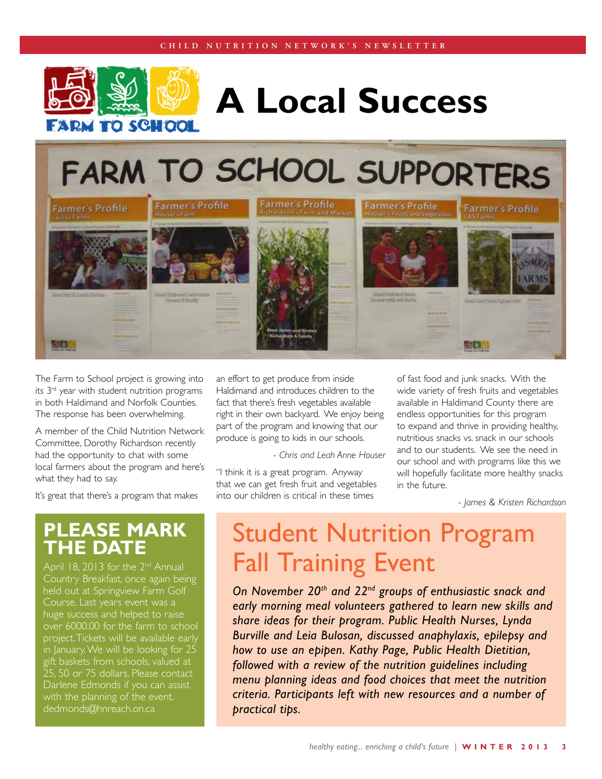

# **A Local Success**

**FARM TO SCHOOL SUPPORTERS** 



The Farm to School project is growing into its 3rd year with student nutrition programs in both Haldimand and Norfolk Counties. The response has been overwhelming.

A member of the Child Nutrition Network Committee, Dorothy Richardson recently had the opportunity to chat with some local farmers about the program and here's what they had to say.

It's great that there's a program that makes

#### **Please mark the date**

April 18, 2013 for the 2<sup>nd</sup> Annual Country Breakfast, once again being held out at Springview Farm Golf Course. Last years event was a huge success and helped to raise over 6000.00 for the farm to school project. Tickets will be available early in January. We will be looking for 25 gift baskets from schools, valued at 25, 50 or 75 dollars. Please contact Darlene Edmonds if you can assist with the planning of the event. dedmonds@hnreach.on.ca

an effort to get produce from inside Haldimand and introduces children to the fact that there's fresh vegetables available right in their own backyard. We enjoy being part of the program and knowing that our produce is going to kids in our schools.

- *Chris and Leah Anne Houser* 

"I think it is a great program. Anyway that we can get fresh fruit and vegetables into our children is critical in these times

of fast food and junk snacks. With the wide variety of fresh fruits and vegetables available in Haldimand County there are endless opportunities for this program to expand and thrive in providing healthy, nutritious snacks vs. snack in our schools and to our students. We see the need in our school and with programs like this we will hopefully facilitate more healthy snacks in the future.

- *James & Kristen Richardson*

## Student Nutrition Program Fall Training Event

*On November 20th and 22nd groups of enthusiastic snack and early morning meal volunteers gathered to learn new skills and share ideas for their program. Public Health Nurses, Lynda Burville and Leia Bulosan, discussed anaphylaxis, epilepsy and how to use an epipen. Kathy Page, Public Health Dietitian, followed with a review of the nutrition guidelines including menu planning ideas and food choices that meet the nutrition criteria. Participants left with new resources and a number of practical tips.*